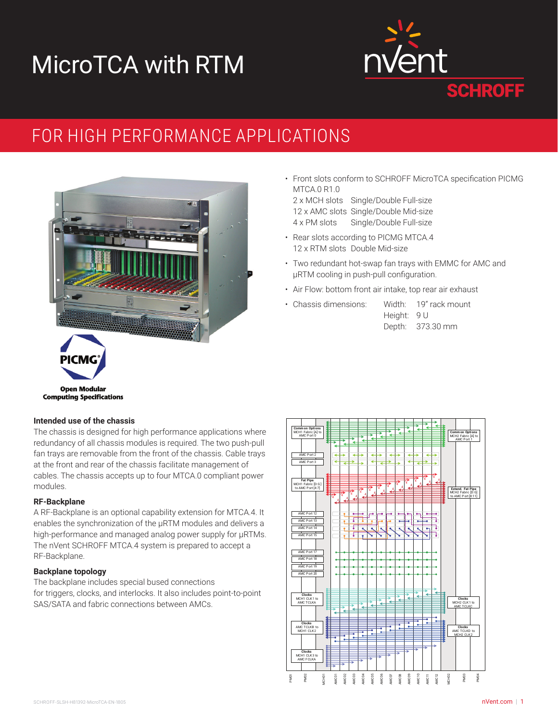# MicroTCA with RTM



### FOR HIGH PERFORMANCE APPLICATIONS



• Front slots conform to SCHROFF MicroTCA specification PICMG MTCA.0 R1.0

2 x MCH slots Single/Double Full-size 12 x AMC slots Single/Double Mid-size 4 x PM slots Single/Double Full-size

- Rear slots according to PICMG MTCA.4 12 x RTM slots Double Mid-size
- Two redundant hot-swap fan trays with EMMC for AMC and μRTM cooling in push-pull configuration.
- Air Flow: bottom front air intake, top rear air exhaust
- Chassis dimensions: Width: 19" rack mount
	- Height: 9 U Depth: 373.30 mm



#### **Intended use of the chassis**

The chassis is designed for high performance applications where redundancy of all chassis modules is required. The two push-pull fan trays are removable from the front of the chassis. Cable trays at the front and rear of the chassis facilitate management of cables. The chassis accepts up to four MTCA.0 compliant power modules.

#### **RF-Backplane**

A RF-Backplane is an optional capability extension for MTCA.4. It enables the synchronization of the µRTM modules and delivers a high-performance and managed analog power supply for μRTMs. The nVent SCHROFF MTCA.4 system is prepared to accept a RF-Backplane.

#### **Backplane topology**

The backplane includes special bused connections for triggers, clocks, and interlocks. It also includes point-to-point SAS/SATA and fabric connections between AMCs.